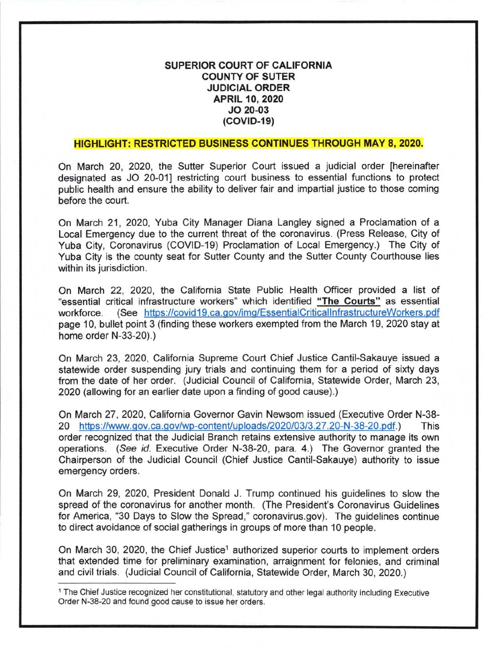# SUPERIOR COURT OF CALIFORNIA COUNTY OF SUTER JUDICIAL ORDER APRIL 10,2O2O JO 20-03  $(COVID-19)$

## HIGHLIGHT: RESTRICTED BUSINESS CONTINUES THROUGH MAY 8,2020.

On March 20, 2020, the Sutter Superior Court issued a judicial order [hereinafter designated as JO 20-011 restricting court business to essential functions to protect public health and ensure the ability to deliver fair and impartial justice to those coming before the court.

On March 21, 2020, Yuba City Manager Diana Langley signed a Proclamation of <sup>a</sup> Local Emergency due to the current threat of the coronavirus. (Press Release, City of Yuba City, Coronavirus (COVID-19) Proclamation of Local Emergency.) The City of Yuba City is the county seat for Sutter County and the Sutter County Courthouse lies within its jurisdiction.

On March 22, 2020, the California State Public Health Officer provided a list of "essential critical infrastructure workers" which identified "The Gourts" as essential workforce. (See https://covid19.ca.gov/img/EssentialCriticallnfrastructureWorkers.pdf page 10, bullet point 3 (finding these workers exempted from the March 19, 2020 stay at home order N-33-20).)

On March 23, 2020, California Supreme Court Chief Justice Cantil-Sakauye issued a statewide order suspending jury trials and continuing them for a period of sixty days from the date of her order. (Judicial Council of California, Statewide Order, March 23, 2020 (allowing for an earlier date upon a finding of good cause).)

On March 27,2020, California Governor Gavin Newsom issued (Executive Order N-38- 20 https://www.gov.ca.gov/wp-content/uploads/2020/03/3.27.20-N-38-20.pdf.) This order recognized that the Judicial Branch retains extensive authority to manage its own operations. (See id. Executive Order N-38-20, para. 4.) The Governor granted the Chairperson of the Judicial Council (Chief Justice Cantil-Sakauye) authority to issue emergency orders.

On March 29, 2020, President Donald J. Trump continued his guidelines to slow the spread of the coronavirus for another month. (The President's Coronavirus Guidelines for America, "30 Days to Slow the Spread," coronavirus.gov). The guidelines continue to direct avoidance of social gatherings in groups of more than 10 people.

On March 30, 2020, the Chief Justice<sup>1</sup> authorized superior courts to implement orders that extended time for preliminary examination, arraignment for felonies, and criminal and civil trials. (Judicial Council of California, Statewide Order, March 30,2020.)

<sup>1</sup>The Chief Justice recognized her constitutional, statutory and other legal authority including Executive Order N-38-20 and found good cause to issue her orders.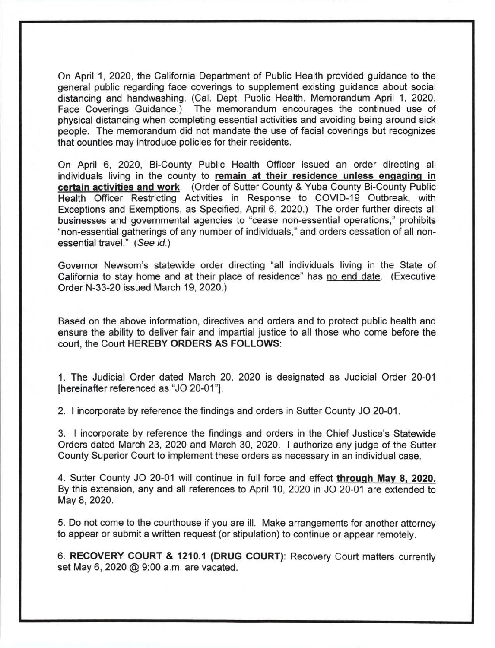On April 1,2020, the California Department of Public Health provided guidance to the general public regarding face coverings to supplement existing guidance about social distancing and handwashing. (Cal. Dept. Public Health, Memorandum April 1,2020, Face Coverings Guidance.) The memorandum encourages the continued use of physical distancing when completing essential activities and avoiding being around sick people. The memorandum did not mandate the use of facial coverings but recognizes that counties may introduce policies for their residents.

On April 6, 2020, Bi-County Public Health Officer issued an order directing all individuals living in the county to remain at their residence unless engaging in certain activities and work. (Order of Sutter County & Yuba County Bi-County Public Health Officer Restricting Activities in Response to COVID-19 Outbreak, with Exceptions and Exemptions, as Specified, April 6, 2020.) The order further directs all businesses and governmental agencies to "cease non-essential operations," prohibits "non-essential gatherings of any number of individuals," and orders cessation of all nonessential travel." (See id.)

Governor Newsom's statewide order directing "all individuals living in the State of California to stay home and at their place of residence" has no end date. (Executive Order N-33-20 issued March 19,2020.)

Based on the above information, directives and orders and to protect public health and ensure the ability to deliver fair and impartial justice to all those who come before the court, the Court HEREBY ORDERS AS FOLLOWS:

1. The Judicial Order dated March 20,2020 is designated as Judicial Order 20-01 [hereinafter referenced as "JO 20-01'].

2. ! incorporate by reference the findings and orders in Sutter County JO 20-01

3. I incorporate by reference the findings and orders in the Chief Justice's Statewide Orders dated March 23,2020 and March 30,2020. I authorize any judge of the Sutter County Superior Court to implement these orders as necessary in an individual case.

4. Sutter County JO 20-01 will continue in full force and effect through May 8, 2020. By this extension, any and all references to April 10,2020 in JO 20-01 are extended to May 8, 2020.

5. Do not come to the courthouse if you are ill. Make arrangements for another attorney to appear or submit a written request (or stipulation) to continue or appear remotely.

6. RECOVERY COURT & 1210.1 (DRUG COURT): Recovery Court matters currently set May 6,2020 @ 9:00 a.m. are vacated.